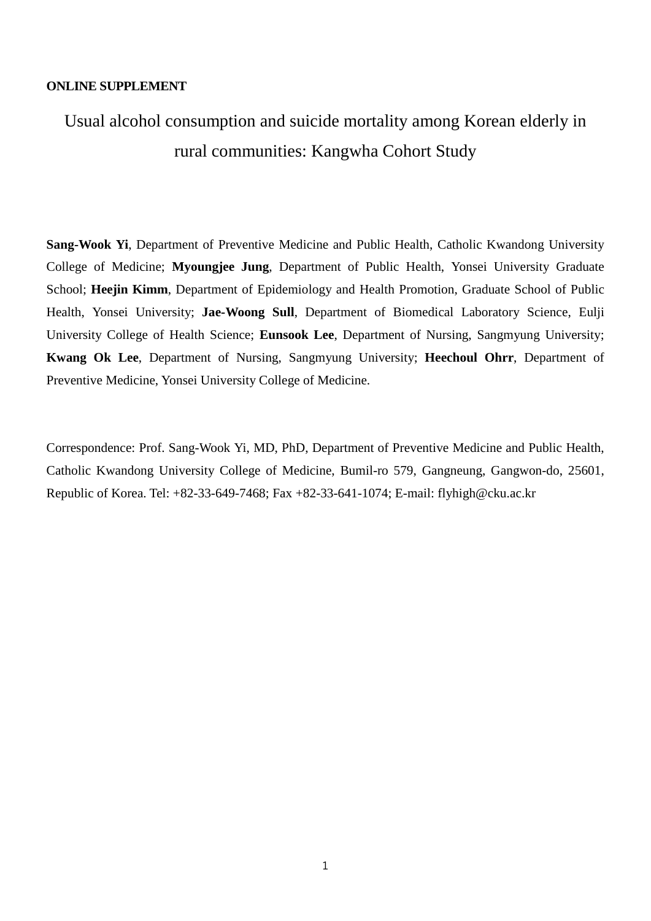## **ONLINE SUPPLEMENT**

## Usual alcohol consumption and suicide mortality among Korean elderly in rural communities: Kangwha Cohort Study

**Sang-Wook Yi**, Department of Preventive Medicine and Public Health, Catholic Kwandong University College of Medicine; **Myoungjee Jung**, Department of Public Health, Yonsei University Graduate School; **Heejin Kimm**, Department of Epidemiology and Health Promotion, Graduate School of Public Health, Yonsei University; **Jae-Woong Sull**, Department of Biomedical Laboratory Science, Eulji University College of Health Science; **Eunsook Lee**, Department of Nursing, Sangmyung University; **Kwang Ok Lee**, Department of Nursing, Sangmyung University; **Heechoul Ohrr**, Department of Preventive Medicine, Yonsei University College of Medicine.

Correspondence: Prof. Sang-Wook Yi, MD, PhD, Department of Preventive Medicine and Public Health, Catholic Kwandong University College of Medicine, Bumil-ro 579, Gangneung, Gangwon-do, 25601, Republic of Korea. Tel: +82-33-649-7468; Fax +82-33-641-1074; E-mail: flyhigh@cku.ac.kr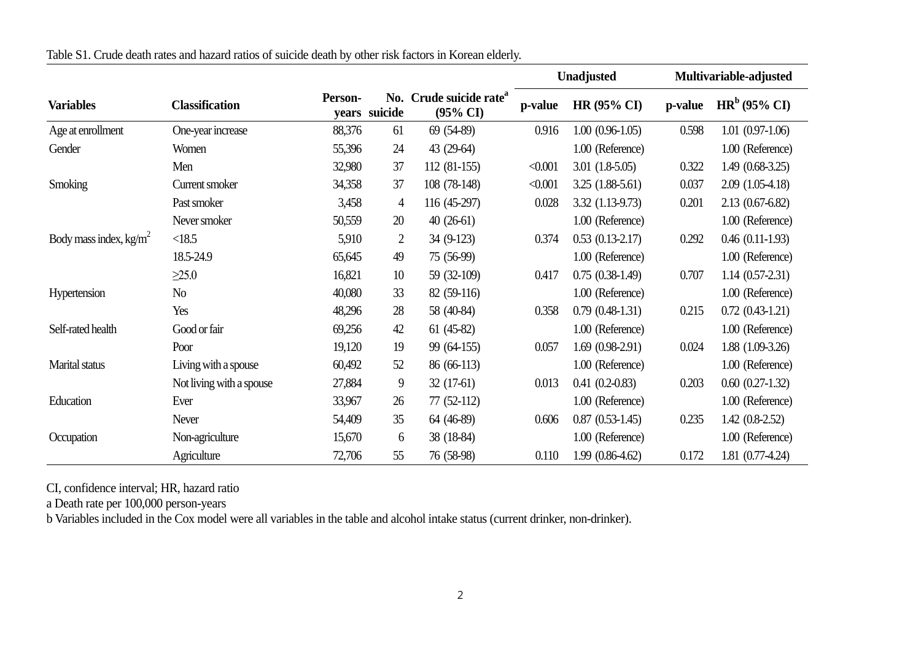|                           |                          |         |                |                                                            | Unadjusted |                      | Multivariable-adjusted |                      |
|---------------------------|--------------------------|---------|----------------|------------------------------------------------------------|------------|----------------------|------------------------|----------------------|
| <b>Variables</b>          | <b>Classification</b>    | Person- | years suicide  | No. Crude suicide rate <sup>a</sup><br>$(95\% \text{ CI})$ | p-value    | <b>HR (95% CI)</b>   | p-value                | $HRb$ (95% CI)       |
| Age at enrollment         | One-year increase        | 88,376  | 61             | 69 (54-89)                                                 | 0.916      | $1.00(0.96-1.05)$    | 0.598                  | $1.01(0.97-1.06)$    |
| Gender                    | Women                    | 55,396  | 24             | 43 (29-64)                                                 |            | 1.00 (Reference)     |                        | 1.00 (Reference)     |
|                           | Men                      | 32,980  | 37             | $112(81-155)$                                              | < 0.001    | $3.01(1.8-5.05)$     | 0.322                  | $1.49(0.68-3.25)$    |
| Smoking                   | Current smoker           | 34,358  | 37             | 108 (78-148)                                               | < 0.001    | $3.25(1.88-5.61)$    | 0.037                  | $2.09(1.05-4.18)$    |
|                           | Past smoker              | 3,458   | 4              | 116 (45-297)                                               | 0.028      | 3.32 (1.13-9.73)     | 0.201                  | $2.13(0.67-6.82)$    |
|                           | Never smoker             | 50,559  | 20             | $40(26-61)$                                                |            | 1.00 (Reference)     |                        | 1.00 (Reference)     |
| Body mass index, $kg/m^2$ | <18.5                    | 5,910   | $\overline{2}$ | 34 (9-123)                                                 | 0.374      | $0.53$ $(0.13-2.17)$ | 0.292                  | $0.46$ $(0.11-1.93)$ |
|                           | 18.5-24.9                | 65,645  | 49             | 75 (56-99)                                                 |            | 1.00 (Reference)     |                        | 1.00 (Reference)     |
|                           | $\geq$ 25.0              | 16,821  | 10             | 59 (32-109)                                                | 0.417      | $0.75(0.38-1.49)$    | 0.707                  | $1.14(0.57-2.31)$    |
| Hypertension              | No                       | 40,080  | 33             | 82 (59-116)                                                |            | 1.00 (Reference)     |                        | 1.00 (Reference)     |
|                           | Yes                      | 48,296  | 28             | 58 (40-84)                                                 | 0.358      | $0.79(0.48-1.31)$    | 0.215                  | $0.72(0.43-1.21)$    |
| Self-rated health         | Good or fair             | 69,256  | 42             | $61(45-82)$                                                |            | 1.00 (Reference)     |                        | 1.00 (Reference)     |
|                           | Poor                     | 19,120  | 19             | 99 (64-155)                                                | 0.057      | $1.69(0.98-2.91)$    | 0.024                  | $1.88(1.09-3.26)$    |
| Marital status            | Living with a spouse     | 60,492  | 52             | 86 (66-113)                                                |            | 1.00 (Reference)     |                        | 1.00 (Reference)     |
|                           | Not living with a spouse | 27,884  | 9              | $32(17-61)$                                                | 0.013      | $0.41(0.2-0.83)$     | 0.203                  | $0.60$ $(0.27-1.32)$ |
| Education                 | Ever                     | 33,967  | 26             | $77(52-112)$                                               |            | 1.00 (Reference)     |                        | 1.00 (Reference)     |
|                           | <b>Never</b>             | 54,409  | 35             | 64 (46-89)                                                 | 0.606      | $0.87(0.53-1.45)$    | 0.235                  | $1.42(0.8-2.52)$     |
| Occupation                | Non-agriculture          | 15,670  | 6              | 38 (18-84)                                                 |            | 1.00 (Reference)     |                        | 1.00 (Reference)     |
|                           | Agriculture              | 72,706  | 55             | 76 (58-98)                                                 | 0.110      | 1.99 (0.86-4.62)     | 0.172                  | 1.81 (0.77-4.24)     |

Table S1. Crude death rates and hazard ratios of suicide death by other risk factors in Korean elderly.

CI, confidence interval; HR, hazard ratio

a Death rate per 100,000 person-years

b Variables included in the Cox model were all variables in the table and alcohol intake status (current drinker, non-drinker).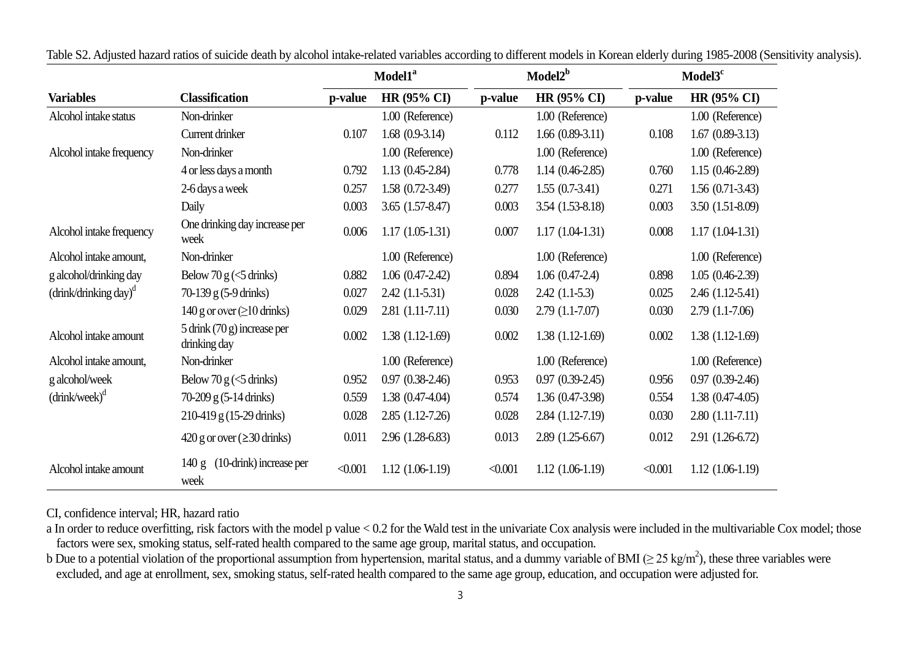|                                                    |                                                 |         | Model1 <sup>a</sup> | Model2 <sup>b</sup> |                    | Model3 <sup>c</sup> |                    |
|----------------------------------------------------|-------------------------------------------------|---------|---------------------|---------------------|--------------------|---------------------|--------------------|
| <b>Variables</b>                                   | <b>Classification</b>                           | p-value | <b>HR (95% CI)</b>  | p-value             | <b>HR (95% CI)</b> | p-value             | <b>HR (95% CI)</b> |
| Alcohol intake status                              | Non-drinker                                     |         | 1.00 (Reference)    |                     | 1.00 (Reference)   |                     | 1.00 (Reference)   |
|                                                    | Current drinker                                 | 0.107   | $1.68(0.9-3.14)$    | 0.112               | $1.66(0.89-3.11)$  | 0.108               | $1.67(0.89-3.13)$  |
| Alcohol intake frequency                           | Non-drinker                                     |         | 1.00 (Reference)    |                     | 1.00 (Reference)   |                     | 1.00 (Reference)   |
|                                                    | 4 or less days a month                          | 0.792   | $1.13(0.45-2.84)$   | 0.778               | $1.14(0.46-2.85)$  | 0.760               | $1.15(0.46-2.89)$  |
|                                                    | 2-6 days a week                                 | 0.257   | $1.58(0.72-3.49)$   | 0.277               | $1.55(0.7-3.41)$   | 0.271               | $1.56(0.71-3.43)$  |
|                                                    | Daily                                           | 0.003   | $3.65(1.57-8.47)$   | 0.003               | 3.54 (1.53-8.18)   | 0.003               | $3.50(1.51-8.09)$  |
| Alcohol intake frequency                           | One drinking day increase per<br>week           | 0.006   | $1.17(1.05-1.31)$   | 0.007               | $1.17(1.04-1.31)$  | 0.008               | $1.17(1.04-1.31)$  |
| Alcohol intake amount,                             | Non-drinker                                     |         | 1.00 (Reference)    |                     | 1.00 (Reference)   |                     | 1.00 (Reference)   |
| g alcohol/drinking day                             | Below 70 $g \ll 5$ drinks)                      | 0.882   | $1.06(0.47-2.42)$   | 0.894               | $1.06(0.47-2.4)$   | 0.898               | $1.05(0.46-2.39)$  |
| $\left(\frac{drink}{drinking}\right)$ <sup>d</sup> | $70-139$ g (5-9 drinks)                         | 0.027   | $2.42(1.1-5.31)$    | 0.028               | $2.42(1.1-5.3)$    | 0.025               | $2.46(1.12-5.41)$  |
|                                                    | 140 g or over $(\geq 10 \text{ drinks})$        | 0.029   | $2.81(1.11-7.11)$   | 0.030               | $2.79(1.1-7.07)$   | 0.030               | $2.79(1.1-7.06)$   |
| Alcohol intake amount                              | $5$ drink $(70 g)$ increase per<br>drinking day | 0.002   | $1.38(1.12-1.69)$   | $0.002\,$           | $1.38(1.12-1.69)$  | 0.002               | $1.38(1.12-1.69)$  |
| Alcohol intake amount,                             | Non-drinker                                     |         | 1.00 (Reference)    |                     | 1.00 (Reference)   |                     | 1.00 (Reference)   |
| g alcohol/week                                     | Below 70 $g \leq 5$ drinks)                     | 0.952   | $0.97(0.38-2.46)$   | 0.953               | $0.97(0.39-2.45)$  | 0.956               | $0.97(0.39-2.46)$  |
| $(drink/week)^d$                                   | 70-209 g (5-14 drinks)                          | 0.559   | $1.38(0.47-4.04)$   | 0.574               | 1.36 (0.47-3.98)   | 0.554               | $1.38(0.47-4.05)$  |
|                                                    | $210-419$ g (15-29 drinks)                      | 0.028   | $2.85(1.12-7.26)$   | 0.028               | 2.84 (1.12-7.19)   | 0.030               | $2.80(1.11-7.11)$  |
|                                                    | $420$ g or over ( $\geq$ 30 drinks)             | 0.011   | 2.96 (1.28-6.83)    | 0.013               | 2.89 (1.25-6.67)   | 0.012               | 2.91 (1.26-6.72)   |
| Alcohol intake amount                              | (10-drink) increase per<br>140 g<br>week        | < 0.001 | $1.12(1.06-1.19)$   | < 0.001             | $1.12(1.06-1.19)$  | < 0.001             | $1.12(1.06-1.19)$  |

Table S2. Adjusted hazard ratios of suicide death by alcohol intake-related variables according to different models in Korean elderly during 1985-2008 (Sensitivity analysis).

CI, confidence interval; HR, hazard ratio

a In order to reduce overfitting, risk factors with the model p value < 0.2 for the Wald test in the univariate Cox analysis were included in the multivariable Cox model; those factors were sex, smoking status, self-rated health compared to the same age group, marital status, and occupation.

b Due to a potential violation of the proportional assumption from hypertension, marital status, and a dummy variable of BMI ( $\geq$  25 kg/m<sup>2</sup>), these three variables were excluded, and age at enrollment, sex, smoking status, self-rated health compared to the same age group, education, and occupation were adjusted for.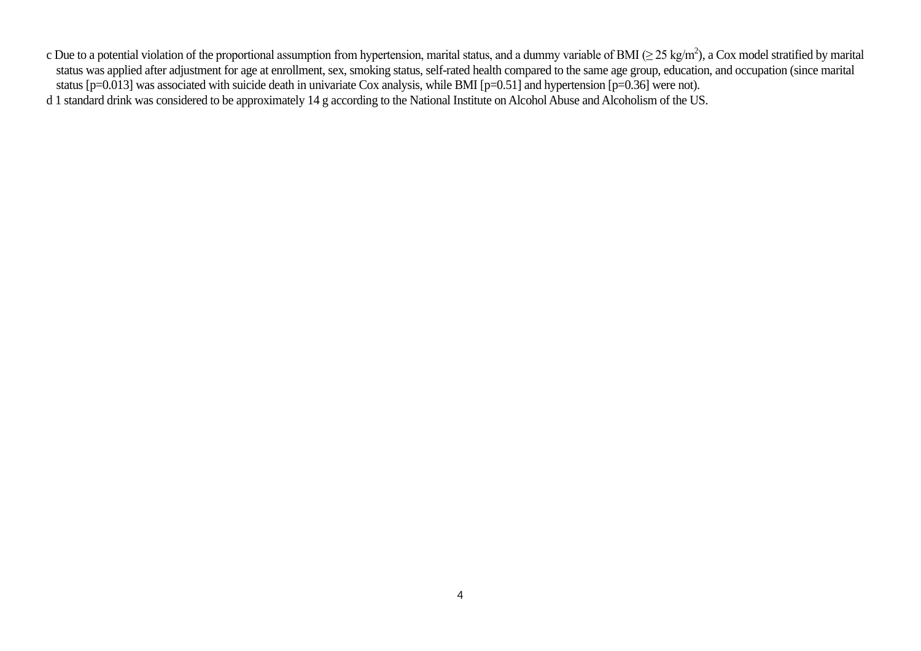- c Due to a potential violation of the proportional assumption from hypertension, marital status, and a dummy variable of BMI ( $\geq$  25 kg/m<sup>2</sup>), a Cox model stratified by marital status was applied after adjustment for age at enrollment, sex, smoking status, self-rated health compared to the same age group, education, and occupation (since marital status [p=0.013] was associated with suicide death in univariate Cox analysis, while BMI [p=0.51] and hypertension [p=0.36] were not).
- d 1 standard drink was considered to be approximately 14 g according to the National Institute on Alcohol Abuse and Alcoholism of the US.